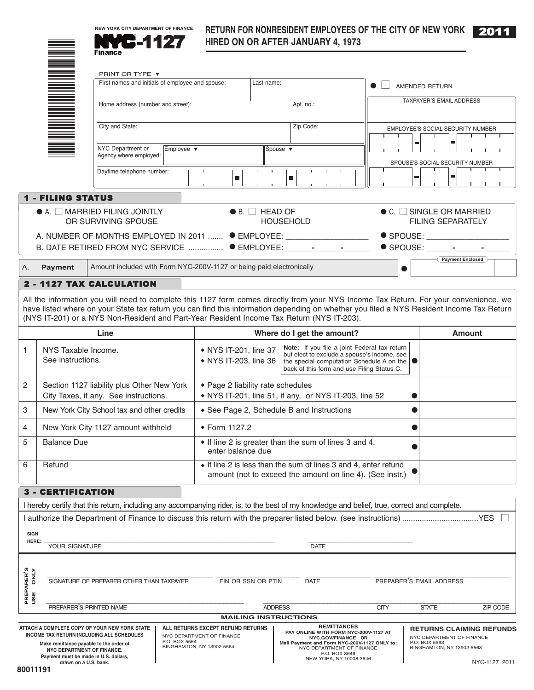

# **RETURN FOR NONRESIDENT EMPLOYEES OF THE CITY OF NEW YORK** 2011



|                        |                                                                                                                      | 6.11<br>Finance                                                                                                                                                                                                                                                                                                                                                                |                                                |                             | HIRED ON OR AFTER JANUARY 4, 1973                                                                                                                                                                            |             |           |                                                                   |                  |          |
|------------------------|----------------------------------------------------------------------------------------------------------------------|--------------------------------------------------------------------------------------------------------------------------------------------------------------------------------------------------------------------------------------------------------------------------------------------------------------------------------------------------------------------------------|------------------------------------------------|-----------------------------|--------------------------------------------------------------------------------------------------------------------------------------------------------------------------------------------------------------|-------------|-----------|-------------------------------------------------------------------|------------------|----------|
|                        |                                                                                                                      | PRINT OR TYPE ▼                                                                                                                                                                                                                                                                                                                                                                |                                                |                             |                                                                                                                                                                                                              |             |           |                                                                   |                  |          |
|                        |                                                                                                                      | First names and initials of employee and spouse:                                                                                                                                                                                                                                                                                                                               |                                                | Last name:                  |                                                                                                                                                                                                              |             |           | AMENDED RETURN                                                    |                  |          |
|                        | <u>Manager i Scheller und der Erste und der Erste der Erste und der Erste und der Erste und der Erste und der Er</u> | Home address (number and street):                                                                                                                                                                                                                                                                                                                                              |                                                |                             | Apt. no.:                                                                                                                                                                                                    |             |           | TAXPAYER'S EMAIL ADDRESS                                          |                  |          |
|                        |                                                                                                                      |                                                                                                                                                                                                                                                                                                                                                                                |                                                |                             |                                                                                                                                                                                                              |             |           |                                                                   |                  |          |
|                        |                                                                                                                      | City and State:                                                                                                                                                                                                                                                                                                                                                                |                                                |                             | Zip Code:                                                                                                                                                                                                    |             |           | EMPLOYEE'S SOCIAL SECURITY NUMBER                                 |                  |          |
|                        |                                                                                                                      | NYC Department or<br>Employee v                                                                                                                                                                                                                                                                                                                                                |                                                | Spouse $\blacktriangledown$ |                                                                                                                                                                                                              |             | ш         | г                                                                 |                  |          |
|                        |                                                                                                                      | Agency where employed:                                                                                                                                                                                                                                                                                                                                                         |                                                |                             |                                                                                                                                                                                                              |             |           | SPOUSE'S SOCIAL SECURITY NUMBER                                   |                  |          |
|                        |                                                                                                                      | Daytime telephone number:                                                                                                                                                                                                                                                                                                                                                      | $\blacksquare$                                 |                             | п                                                                                                                                                                                                            |             | ▬         |                                                                   |                  |          |
|                        | <b>1 - FILING STATUS</b>                                                                                             |                                                                                                                                                                                                                                                                                                                                                                                |                                                |                             |                                                                                                                                                                                                              |             |           |                                                                   |                  |          |
|                        |                                                                                                                      | $\bullet$ A. $\Box$ MARRIED FILING JOINTLY<br>OR SURVIVING SPOUSE                                                                                                                                                                                                                                                                                                              |                                                | $\bullet$ B. $\Box$ HEAD OF | <b>HOUSEHOLD</b>                                                                                                                                                                                             |             |           | $\bullet$ C. $\Box$ SINGLE OR MARRIED<br><b>FILING SEPARATELY</b> |                  |          |
|                        |                                                                                                                      | A. NUMBER OF MONTHS EMPLOYED IN 2011  ● EMPLOYEE: ______________________                                                                                                                                                                                                                                                                                                       |                                                |                             |                                                                                                                                                                                                              |             |           | $\bullet$ SPOUSE: $\qquad \qquad \bullet$                         |                  |          |
|                        |                                                                                                                      | B. DATE RETIRED FROM NYC SERVICE  ● EMPLOYEE: ______-__________                                                                                                                                                                                                                                                                                                                |                                                |                             |                                                                                                                                                                                                              |             |           | $\bullet$ SPOUSE: $\bullet$ $\bullet$                             |                  |          |
| А.                     | <b>Payment</b>                                                                                                       | Amount included with Form NYC-200V-1127 or being paid electronically                                                                                                                                                                                                                                                                                                           |                                                |                             |                                                                                                                                                                                                              |             | $\bullet$ |                                                                   | Payment Enclosed |          |
|                        |                                                                                                                      | 2 - 1127 TAX CALCULATION                                                                                                                                                                                                                                                                                                                                                       |                                                |                             |                                                                                                                                                                                                              |             |           |                                                                   |                  |          |
|                        |                                                                                                                      | All the information you will need to complete this 1127 form comes directly from your NYS Income Tax Return. For your convenience, we<br>have listed where on your State tax return you can find this information depending on whether you filed a NYS Resident Income Tax Return<br>(NYS IT-201) or a NYS Non-Resident and Part-Year Resident Income Tax Return (NYS IT-203). |                                                |                             |                                                                                                                                                                                                              |             |           |                                                                   |                  |          |
|                        |                                                                                                                      | Line                                                                                                                                                                                                                                                                                                                                                                           |                                                |                             | Where do I get the amount?                                                                                                                                                                                   |             |           |                                                                   | <b>Amount</b>    |          |
| 1                      | NYS Taxable Income.<br>See instructions.                                                                             |                                                                                                                                                                                                                                                                                                                                                                                | • NYS IT-201, line 37<br>• NYS IT-203, line 36 |                             | Note: If you file a joint Federal tax return<br>but elect to exclude a spouse's income, see<br>the special computation Schedule A on the $\vert \bullet \vert$<br>back of this form and use Filing Status C. |             |           |                                                                   |                  |          |
| 2                      |                                                                                                                      | Section 1127 liability plus Other New York<br>City Taxes, if any. See instructions.                                                                                                                                                                                                                                                                                            | ◆ Page 2 liability rate schedules              |                             | • NYS IT-201, line 51, if any, or NYS IT-203, line 52                                                                                                                                                        |             |           |                                                                   |                  |          |
| 3                      |                                                                                                                      | New York City School tax and other credits                                                                                                                                                                                                                                                                                                                                     |                                                |                             | • See Page 2, Schedule B and Instructions                                                                                                                                                                    |             |           |                                                                   |                  |          |
| 4                      |                                                                                                                      | New York City 1127 amount withheld                                                                                                                                                                                                                                                                                                                                             | ◆ Form 1127.2                                  |                             |                                                                                                                                                                                                              |             |           |                                                                   |                  |          |
| 5                      | <b>Balance Due</b>                                                                                                   |                                                                                                                                                                                                                                                                                                                                                                                | enter balance due                              |                             | • If line 2 is greater than the sum of lines 3 and 4,                                                                                                                                                        |             |           |                                                                   |                  |          |
| 6                      | Refund                                                                                                               |                                                                                                                                                                                                                                                                                                                                                                                |                                                |                             | • If line 2 is less than the sum of lines 3 and 4, enter refund<br>amount (not to exceed the amount on line 4). (See instr.)                                                                                 |             |           |                                                                   |                  |          |
|                        | <b>3 - CERTIFICATION</b>                                                                                             |                                                                                                                                                                                                                                                                                                                                                                                |                                                |                             |                                                                                                                                                                                                              |             |           |                                                                   |                  |          |
|                        |                                                                                                                      | I hereby certify that this return, including any accompanying rider, is, to the best of my knowledge and belief, true, correct and complete.                                                                                                                                                                                                                                   |                                                |                             |                                                                                                                                                                                                              |             |           |                                                                   |                  |          |
|                        |                                                                                                                      |                                                                                                                                                                                                                                                                                                                                                                                |                                                |                             |                                                                                                                                                                                                              |             |           |                                                                   |                  |          |
| <b>SIGN</b><br>HERE:   | YOUR SIGNATURE                                                                                                       |                                                                                                                                                                                                                                                                                                                                                                                |                                                |                             | <b>DATE</b>                                                                                                                                                                                                  |             |           |                                                                   |                  |          |
|                        |                                                                                                                      |                                                                                                                                                                                                                                                                                                                                                                                |                                                |                             |                                                                                                                                                                                                              |             |           |                                                                   |                  |          |
| PREPARER'S<br>USE ONLY |                                                                                                                      | SIGNATURE OF PREPARER OTHER THAN TAXPAYER                                                                                                                                                                                                                                                                                                                                      | EIN OR SSN OR PTIN                             |                             | DATE                                                                                                                                                                                                         |             |           | PREPARER'S EMAIL ADDRESS                                          |                  |          |
|                        |                                                                                                                      | PREPARER'S PRINTED NAME                                                                                                                                                                                                                                                                                                                                                        |                                                | <b>ADDRESS</b>              |                                                                                                                                                                                                              | <b>CITY</b> |           | <b>STATE</b>                                                      |                  | ZIP CODE |
|                        |                                                                                                                      |                                                                                                                                                                                                                                                                                                                                                                                |                                                |                             | <b>MAILING INSTRUCTIONS</b>                                                                                                                                                                                  |             |           |                                                                   |                  |          |

NYC-1127 2011 **ATTACH A COMPLETE COPY OF YOUR NEW YORK STATE INCOME TAX RETURN INCLUDING ALL SCHEDULES Make remittance payable to the order of NYC DEPARTMENT OF FINANCE. Payment must be made in U.S. dollars, drawn on a U.S. bank. ALL RETURNS EXCEPT REFUND RETURNS** NYC DEPARTMENT OF FINANCE P.O. BOX 5564 BINGHAMTON, NY 13902-5564 **RETURNS CLAIMING REFUNDS** NYC DEPARTMENT OF FINANCE P.O. BOX 5563 BINGHAMTON, NY 13902-5563 **REMITTANCES**<br>**PAY ONLINE WITH FORM NYC-200V-1127 AT<br>NYC-GOV/FINANCE OR<br>Mail Payment and Form NYC-200V-1127 ONLY to:<br>P.O. BOX 3646<br>P.O. P.O. BOX 3646<br>NEW YORK, NY 10008-3646** 

PREPARER'S<br>USE ONLY

 $3 -$ 

A. **Payment**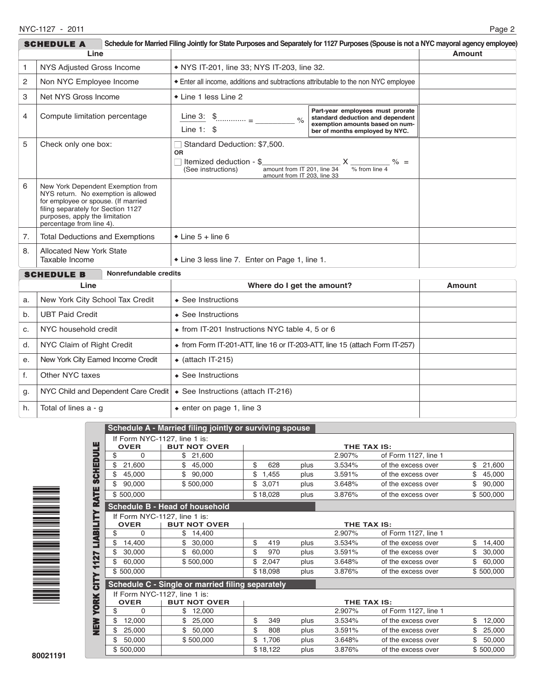|                                                                                             | Schedule for Married Filing Jointly for State Purposes and Separately for 1127 Purposes (Spouse is not a NYC mayoral agency employee)<br><b>SCHEDULE A</b>                                                          |                                                                                                                                                                                                                                                                                                                                                                                                                                                                                                     |               |  |  |  |
|---------------------------------------------------------------------------------------------|---------------------------------------------------------------------------------------------------------------------------------------------------------------------------------------------------------------------|-----------------------------------------------------------------------------------------------------------------------------------------------------------------------------------------------------------------------------------------------------------------------------------------------------------------------------------------------------------------------------------------------------------------------------------------------------------------------------------------------------|---------------|--|--|--|
| Line                                                                                        |                                                                                                                                                                                                                     |                                                                                                                                                                                                                                                                                                                                                                                                                                                                                                     | <b>Amount</b> |  |  |  |
| NYS Adjusted Gross Income<br>1                                                              |                                                                                                                                                                                                                     | • NYS IT-201, line 33; NYS IT-203, line 32.                                                                                                                                                                                                                                                                                                                                                                                                                                                         |               |  |  |  |
| 2<br>Non NYC Employee Income                                                                |                                                                                                                                                                                                                     | Enter all income, additions and subtractions attributable to the non NYC employee                                                                                                                                                                                                                                                                                                                                                                                                                   |               |  |  |  |
| 3                                                                                           | Net NYS Gross Income                                                                                                                                                                                                | • Line 1 less Line 2                                                                                                                                                                                                                                                                                                                                                                                                                                                                                |               |  |  |  |
| 4                                                                                           | Compute limitation percentage                                                                                                                                                                                       | Part-year employees must prorate<br>Line 3: $\frac{1}{2}$ $\frac{1}{2}$ $\frac{1}{2}$ $\frac{1}{2}$ $\frac{1}{2}$ $\frac{1}{2}$ $\frac{1}{2}$ $\frac{1}{2}$ $\frac{1}{2}$ $\frac{1}{2}$ $\frac{1}{2}$ $\frac{1}{2}$ $\frac{1}{2}$ $\frac{1}{2}$ $\frac{1}{2}$ $\frac{1}{2}$ $\frac{1}{2}$ $\frac{1}{2}$ $\frac{1}{2}$ $\frac{1}{2}$ $\frac{1}{2}$ $\frac$<br>standard deduction and dependent<br>$\frac{1}{2}$<br>exemption amounts based on num-<br>Line $1:$ \$<br>ber of months employed by NYC. |               |  |  |  |
| 5<br>Standard Deduction: \$7,500.<br>Check only one box:<br><b>OR</b><br>(See instructions) |                                                                                                                                                                                                                     | Itemized deduction - $\frac{1}{4}$<br>(See instructions) $\frac{1}{4}$<br>amount from IT 201, line 34<br>$\frac{1}{4}$<br>amount from IT 203. line 33                                                                                                                                                                                                                                                                                                                                               |               |  |  |  |
| 6                                                                                           | New York Dependent Exemption from<br>NYS return. No exemption is allowed<br>for employee or spouse. (If married<br>filing separately for Section 1127<br>purposes, apply the limitation<br>percentage from line 4). |                                                                                                                                                                                                                                                                                                                                                                                                                                                                                                     |               |  |  |  |
| 7.                                                                                          | <b>Total Deductions and Exemptions</b>                                                                                                                                                                              | $\bullet$ Line 5 + line 6                                                                                                                                                                                                                                                                                                                                                                                                                                                                           |               |  |  |  |
| 8.                                                                                          | <b>Allocated New York State</b><br>Taxable Income                                                                                                                                                                   | * Line 3 less line 7. Enter on Page 1, line 1.                                                                                                                                                                                                                                                                                                                                                                                                                                                      |               |  |  |  |
| Nonrefundable credits<br>SCHEDULE B                                                         |                                                                                                                                                                                                                     |                                                                                                                                                                                                                                                                                                                                                                                                                                                                                                     |               |  |  |  |
| Line                                                                                        |                                                                                                                                                                                                                     | Where do I get the amount?                                                                                                                                                                                                                                                                                                                                                                                                                                                                          | <b>Amount</b> |  |  |  |
| New York City School Tax Credit<br>a.                                                       |                                                                                                                                                                                                                     | ◆ See Instructions                                                                                                                                                                                                                                                                                                                                                                                                                                                                                  |               |  |  |  |
| <b>UBT Paid Credit</b><br>b.                                                                |                                                                                                                                                                                                                     | ◆ See Instructions                                                                                                                                                                                                                                                                                                                                                                                                                                                                                  |               |  |  |  |
| NYC household credit<br>c.                                                                  |                                                                                                                                                                                                                     | • from IT-201 Instructions NYC table 4, 5 or 6                                                                                                                                                                                                                                                                                                                                                                                                                                                      |               |  |  |  |
| NYC Claim of Right Credit<br>d.                                                             |                                                                                                                                                                                                                     | • from Form IT-201-ATT, line 16 or IT-203-ATT, line 15 (attach Form IT-257)                                                                                                                                                                                                                                                                                                                                                                                                                         |               |  |  |  |
| New York City Earned Income Credit<br>е.                                                    |                                                                                                                                                                                                                     | $\bullet$ (attach IT-215)                                                                                                                                                                                                                                                                                                                                                                                                                                                                           |               |  |  |  |
| Other NYC taxes<br>f.                                                                       |                                                                                                                                                                                                                     | $\triangle$ See Instructions                                                                                                                                                                                                                                                                                                                                                                                                                                                                        |               |  |  |  |
| g.                                                                                          | NYC Child and Dependent Care Credit   • See Instructions (attach IT-216)                                                                                                                                            |                                                                                                                                                                                                                                                                                                                                                                                                                                                                                                     |               |  |  |  |
| h.                                                                                          | Total of lines a - g                                                                                                                                                                                                | $\bullet$ enter on page 1, line 3                                                                                                                                                                                                                                                                                                                                                                                                                                                                   |               |  |  |  |



|                                                                 |                                    | Schedule A - Married filing jointly or surviving spouse |             |      |             |                      |              |
|-----------------------------------------------------------------|------------------------------------|---------------------------------------------------------|-------------|------|-------------|----------------------|--------------|
|                                                                 | If Form NYC-1127, line 1 is:       |                                                         |             |      |             |                      |              |
| ш                                                               | <b>OVER</b>                        | <b>BUT NOT OVER</b>                                     | THE TAX IS: |      |             |                      |              |
| <b>SCHEDUL</b>                                                  | \$<br>0                            | 21,600                                                  |             |      | 2.907%      | of Form 1127, line 1 |              |
|                                                                 | \$<br>21,600                       | 45,000                                                  | \$<br>628   | plus | 3.534%      | of the excess over   | \$<br>21,600 |
|                                                                 | \$<br>45,000                       | \$<br>90,000                                            | \$<br>1,455 | plus | 3.591%      | of the excess over   | \$<br>45,000 |
|                                                                 | \$<br>90,000                       | \$500,000                                               | \$<br>3,071 | plus | 3.648%      | of the excess over   | \$<br>90,000 |
|                                                                 | \$500,000                          |                                                         | \$18,028    | plus | 3.876%      | of the excess over   | \$500,000    |
| <b>LIABILITY RATE</b><br><b>Schedule B - Head of household</b>  |                                    |                                                         |             |      |             |                      |              |
|                                                                 | If Form NYC-1127, line 1 is:       |                                                         |             |      | THE TAX IS: |                      |              |
|                                                                 | <b>OVER</b>                        | <b>BUT NOT OVER</b>                                     |             |      |             |                      |              |
|                                                                 | \$<br>0                            | \$<br>14,400                                            |             |      | 2.907%      | of Form 1127, line 1 |              |
|                                                                 | \$<br>14,400                       | \$<br>30,000                                            | \$<br>419   | plus | 3.534%      | of the excess over   | \$<br>14,400 |
|                                                                 | \$<br>30,000                       | \$<br>60,000                                            | \$<br>970   | plus | 3.591%      | of the excess over   | \$<br>30,000 |
| 1127                                                            | 60,000                             | \$500,000                                               | \$<br>2,047 | plus | 3.648%      | of the excess over   | \$<br>60,000 |
|                                                                 | \$500,000                          |                                                         | \$18,098    | plus | 3.876%      | of the excess over   | \$500,000    |
| <b>CITY</b><br>Schedule C - Single or married filing separately |                                    |                                                         |             |      |             |                      |              |
|                                                                 | If Form NYC-1127, line 1 is:       |                                                         |             |      |             |                      |              |
| <b>XEOJ</b>                                                     | <b>OVER</b><br><b>BUT NOT OVER</b> |                                                         | THE TAX IS: |      |             |                      |              |
|                                                                 | \$<br>$\Omega$                     | \$<br>12,000                                            |             |      | 2.907%      | of Form 1127, line 1 |              |
| <b>MEN</b>                                                      | \$<br>12,000                       | \$<br>25,000                                            | \$<br>349   | plus | 3.534%      | of the excess over   | \$<br>12,000 |
|                                                                 | \$<br>25,000                       | \$<br>50,000                                            | \$<br>808   | plus | 3.591%      | of the excess over   | 25,000       |
|                                                                 | 50,000                             | \$500,000                                               | \$<br>1.706 | plus | 3.648%      | of the excess over   | \$<br>50,000 |
|                                                                 | \$500.000                          |                                                         | \$18,122    | plus | 3.876%      | of the excess over   | \$500,000    |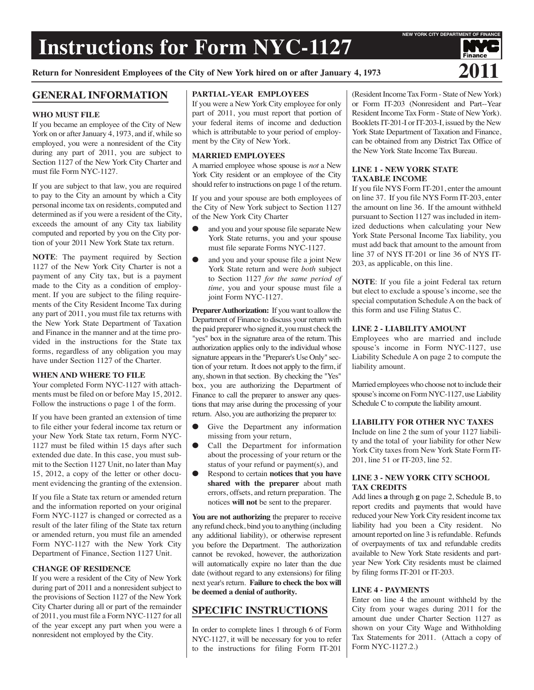# **Instructions for Form NYC-1127**

**Return for Nonresident Employees of the City of New York hired on or after January 4, <sup>1973</sup> 2011**

# **GENERAL INFORMATION**

# **WHO MUST FILE**

If you became an employee of the City of New York on or after January 4, 1973, and if, while so employed, you were a nonresident of the City during any part of 2011, you are subject to Section 1127 of the New York City Charter and must file Form NYC-1127.

If you are subject to that law, you are required to pay to the City an amount by which a City personal income tax on residents, computed and determined as if you were a resident of the City, exceeds the amount of any City tax liability computed and reported by you on the City portion of your 2011 New York State tax return.

**NOTE**: The payment required by Section 1127 of the New York City Charter is not a payment of any City tax, but is a payment made to the City as a condition of employment. If you are subject to the filing requirements of the City Resident Income Tax during any part of 2011, you must file tax returns with the New York State Department of Taxation and Finance in the manner and at the time provided in the instructions for the State tax forms, regardless of any obligation you may have under Section 1127 of the Charter.

#### **WHEN AND WHERE TO FILE**

Your completed Form NYC-1127 with attachments must be filed on or before May 15, 2012. Follow the instructions o page 1 of the form.

If you have been granted an extension of time to file either your federal income tax return or your New York State tax return, Form NYC-1127 must be filed within 15 days after such extended due date. In this case, you must submit to the Section 1127 Unit, no later than May 15, 2012, a copy of the letter or other document evidencing the granting of the extension.

If you file a State tax return or amended return and the information reported on your original Form NYC-1127 is changed or corrected as a result of the later filing of the State tax return or amended return, you must file an amended Form NYC-1127 with the New York City Department of Finance, Section 1127 Unit.

#### **CHANGE OF RESIDENCE**

If you were a resident of the City of New York during part of 2011 and a nonresident subject to the provisions of Section 1127 of the New York City Charter during all or part of the remainder of 2011, you must file a Form NYC-1127 for all of the year except any part when you were a nonresident not employed by the City.

## **PARTIAL-YEAR EMPLOYEES**

If you were a New York City employee for only part of 2011, you must report that portion of your federal items of income and deduction which is attributable to your period of employment by the City of New York.

## **MARRIED EMPLOYEES**

A married employee whose spouse is *not* a New York City resident or an employee of the City should refer to instructions on page 1 of the return.

If you and your spouse are both employees of the City of New York subject to Section 1127 of the New York City Charter

- and you and your spouse file separate New York State returns, you and your spouse must file separate Forms NYC-1127.
- and you and your spouse file a joint New York State return and were *both* subject to Section 1127 *for the same period of time,* you and your spouse must file a joint Form NYC-1127.

**Preparer Authorization:** If you want to allow the Department of Finance to discuss your return with the paid preparerwho signed it, youmust check the "yes" box in the signature area of the return. This authorization applies only to the individual whose signature appears in the "Preparer's Use Only" section of your return. It does not apply to the firm, if any, shown in that section. By checking the "Yes" box, you are authorizing the Department of Finance to call the preparer to answer any questions that may arise during the processing of your return. Also, you are authorizing the preparer to:

- Give the Department any information missing from your return,
- Call the Department for information about the processing of your return or the status of your refund or payment(s), and
- Respond to certain **notices that you have shared with the preparer** about math errors, offsets, and return preparation. The notices **will not** be sent to the preparer.

**You are not authorizing** the preparer to receive any refund check, bind you to anything (including any additional liability), or otherwise represent you before the Department. The authorization cannot be revoked, however, the authorization will automatically expire no later than the due date (without regard to any extensions) for filing next year's return. **Failure to check the box will be deemed a denial of authority.**

# **SPECIFIC INSTRUCTIONS**

In order to complete lines 1 through 6 of Form NYC-1127, it will be necessary for you to refer to the instructions for filing Form IT-201

(Resident Income Tax Form - State of New York) or Form IT-203 (Nonresident and Part--Year Resident Income Tax Form - State of New York). Booklets IT-201-I or IT-203-I, issued by the New York State Department of Taxation and Finance, can be obtained from any District Tax Office of the New York State Income Tax Bureau.

# **LINE 1 - NEW YORK STATE TAXABLE INCOME**

If you file NYS Form IT-201, enter the amount on line 37. If you file NYS Form IT-203, enter the amount on line 36. If the amount withheld pursuant to Section 1127 was included in itemized deductions when calculating your New York State Personal Income Tax liability, you must add back that amount to the amount from line 37 of NYS IT-201 or line 36 of NYS IT-203, as applicable, on this line.

**NOTE**: If you file a joint Federal tax return but elect to exclude a spouse's income, see the special computation Schedule A on the back of this form and use Filing Status C.

## **LINE 2 - LIABILITY AMOUNT**

Employees who are married and include spouse's income in Form NYC-1127, use Liability Schedule A on page 2 to compute the liability amount.

Married employeeswho choose not to include their spouse's income on Form NYC-1127, use Liability Schedule C to compute the liability amount.

# **LIABILITY FOR OTHER NYC TAXES**

Include on line 2 the sum of your 1127 liability and the total of your liability for other New York City taxes from New York State Form IT-201, line 51 or IT-203, line 52.

# **LINE 3 - NEW YORK CITY SCHOOL TAX CREDITS**

Add lines **a** through **g** on page 2, Schedule B, to report credits and payments that would have reduced your NewYork City resident income tax liability had you been a City resident. No amount reported on line 3 is refundable. Refunds of overpayments of tax and refundable credits available to New York State residents and partyear New York City residents must be claimed by filing forms IT-201 or IT-203.

# **LINE 4 - PAYMENTS**

Enter on line 4 the amount withheld by the City from your wages during 2011 for the amount due under Charter Section 1127 as shown on your City Wage and Withholding Tax Statements for 2011. (Attach a copy of Form NYC-1127.2.)